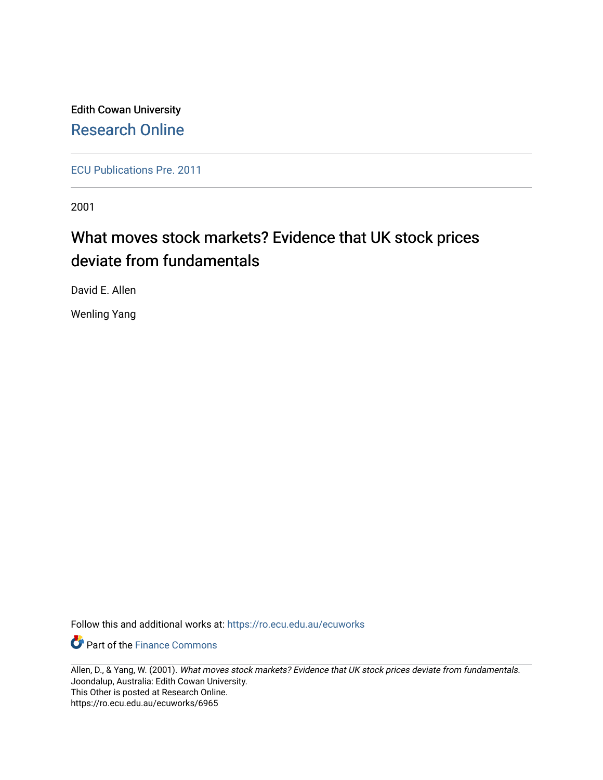Edith Cowan University [Research Online](https://ro.ecu.edu.au/) 

[ECU Publications Pre. 2011](https://ro.ecu.edu.au/ecuworks)

2001

# What moves stock markets? Evidence that UK stock prices deviate from fundamentals

David E. Allen

Wenling Yang

Follow this and additional works at: [https://ro.ecu.edu.au/ecuworks](https://ro.ecu.edu.au/ecuworks?utm_source=ro.ecu.edu.au%2Fecuworks%2F6965&utm_medium=PDF&utm_campaign=PDFCoverPages) 

**P** Part of the Finance Commons

Allen, D., & Yang, W. (2001). What moves stock markets? Evidence that UK stock prices deviate from fundamentals. Joondalup, Australia: Edith Cowan University. This Other is posted at Research Online. https://ro.ecu.edu.au/ecuworks/6965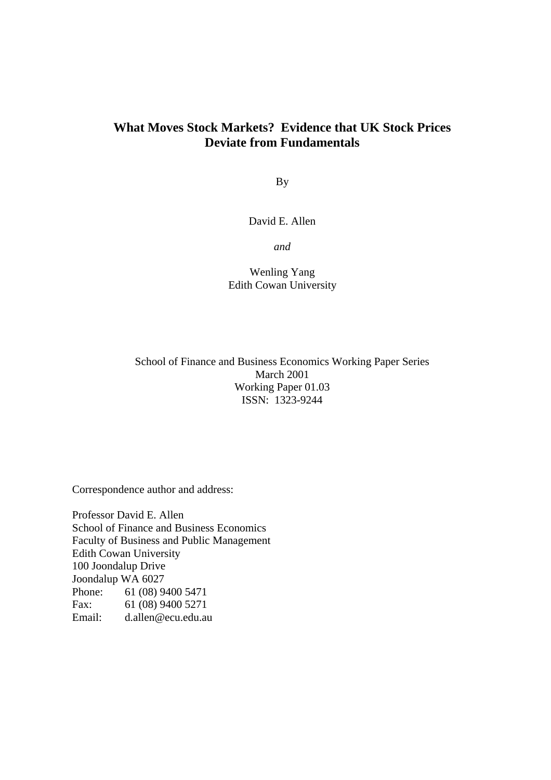## **What Moves Stock Markets? Evidence that UK Stock Prices Deviate from Fundamentals**

By

David E. Allen

*and*

Wenling Yang Edith Cowan University

School of Finance and Business Economics Working Paper Series March 2001 Working Paper 01.03 ISSN: 1323-9244

Correspondence author and address:

Professor David E. Allen School of Finance and Business Economics Faculty of Business and Public Management Edith Cowan University 100 Joondalup Drive Joondalup WA 6027 Phone: 61 (08) 9400 5471 Fax: 61 (08) 9400 5271 Email: d.allen@ecu.edu.au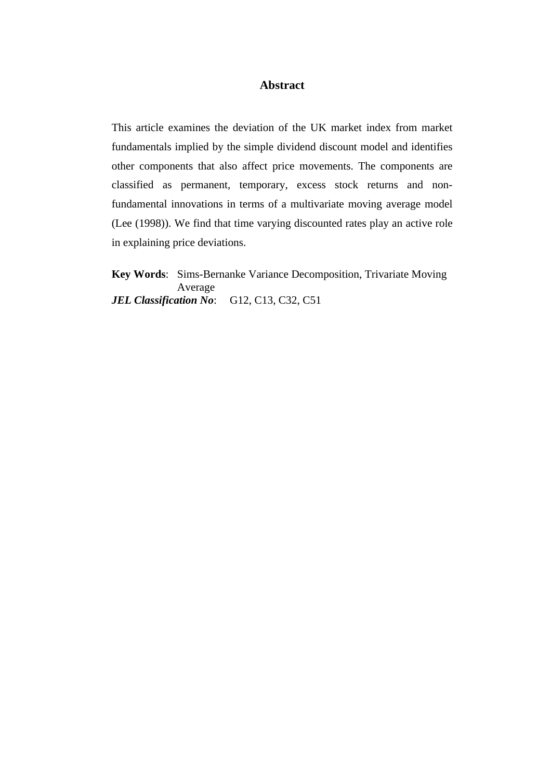#### **Abstract**

This article examines the deviation of the UK market index from market fundamentals implied by the simple dividend discount model and identifies other components that also affect price movements. The components are classified as permanent, temporary, excess stock returns and nonfundamental innovations in terms of a multivariate moving average model (Lee (1998)). We find that time varying discounted rates play an active role in explaining price deviations.

**Key Words**: Sims-Bernanke Variance Decomposition, Trivariate Moving Average *JEL Classification No*: G12, C13, C32, C51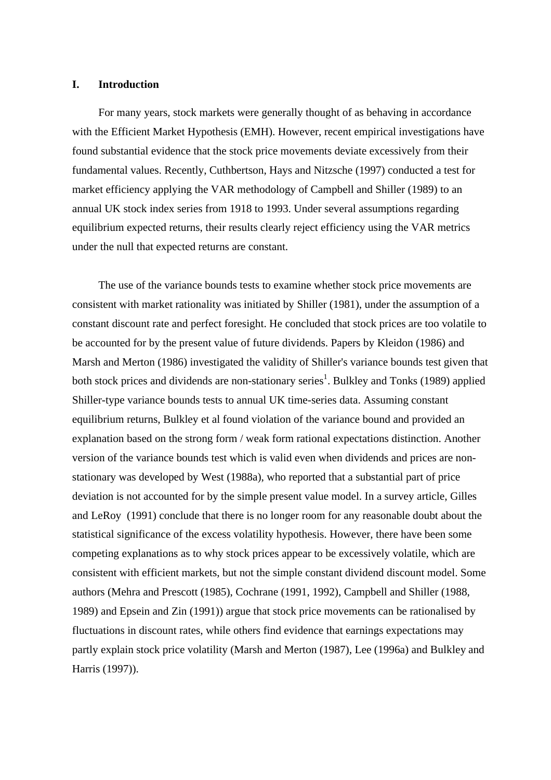#### **I. Introduction**

For many years, stock markets were generally thought of as behaving in accordance with the Efficient Market Hypothesis (EMH). However, recent empirical investigations have found substantial evidence that the stock price movements deviate excessively from their fundamental values. Recently, Cuthbertson, Hays and Nitzsche (1997) conducted a test for market efficiency applying the VAR methodology of Campbell and Shiller (1989) to an annual UK stock index series from 1918 to 1993. Under several assumptions regarding equilibrium expected returns, their results clearly reject efficiency using the VAR metrics under the null that expected returns are constant.

The use of the variance bounds tests to examine whether stock price movements are consistent with market rationality was initiated by Shiller (1981), under the assumption of a constant discount rate and perfect foresight. He concluded that stock prices are too volatile to be accounted for by the present value of future dividends. Papers by Kleidon (1986) and Marsh and Merton (1986) investigated the validity of Shiller's variance bounds test given that both stock prices and dividends are non-stationary series<sup>1</sup>. Bulkley and Tonks (1989) applied Shiller-type variance bounds tests to annual UK time-series data. Assuming constant equilibrium returns, Bulkley et al found violation of the variance bound and provided an explanation based on the strong form / weak form rational expectations distinction. Another version of the variance bounds test which is valid even when dividends and prices are nonstationary was developed by West (1988a), who reported that a substantial part of price deviation is not accounted for by the simple present value model. In a survey article, Gilles and LeRoy (1991) conclude that there is no longer room for any reasonable doubt about the statistical significance of the excess volatility hypothesis. However, there have been some competing explanations as to why stock prices appear to be excessively volatile, which are consistent with efficient markets, but not the simple constant dividend discount model. Some authors (Mehra and Prescott (1985), Cochrane (1991, 1992), Campbell and Shiller (1988, 1989) and Epsein and Zin (1991)) argue that stock price movements can be rationalised by fluctuations in discount rates, while others find evidence that earnings expectations may partly explain stock price volatility (Marsh and Merton (1987), Lee (1996a) and Bulkley and Harris (1997)).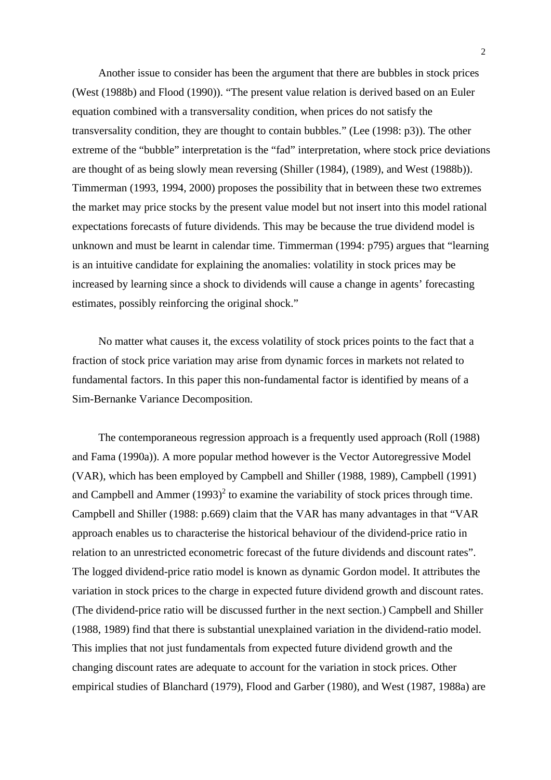Another issue to consider has been the argument that there are bubbles in stock prices (West (1988b) and Flood (1990)). "The present value relation is derived based on an Euler equation combined with a transversality condition, when prices do not satisfy the transversality condition, they are thought to contain bubbles." (Lee (1998: p3)). The other extreme of the "bubble" interpretation is the "fad" interpretation, where stock price deviations are thought of as being slowly mean reversing (Shiller (1984), (1989), and West (1988b)). Timmerman (1993, 1994, 2000) proposes the possibility that in between these two extremes the market may price stocks by the present value model but not insert into this model rational expectations forecasts of future dividends. This may be because the true dividend model is unknown and must be learnt in calendar time. Timmerman (1994: p795) argues that "learning is an intuitive candidate for explaining the anomalies: volatility in stock prices may be increased by learning since a shock to dividends will cause a change in agents' forecasting estimates, possibly reinforcing the original shock."

No matter what causes it, the excess volatility of stock prices points to the fact that a fraction of stock price variation may arise from dynamic forces in markets not related to fundamental factors. In this paper this non-fundamental factor is identified by means of a Sim-Bernanke Variance Decomposition.

The contemporaneous regression approach is a frequently used approach (Roll (1988) and Fama (1990a)). A more popular method however is the Vector Autoregressive Model (VAR), which has been employed by Campbell and Shiller (1988, 1989), Campbell (1991) and Campbell and Ammer  $(1993)^2$  to examine the variability of stock prices through time. Campbell and Shiller (1988: p.669) claim that the VAR has many advantages in that "VAR approach enables us to characterise the historical behaviour of the dividend-price ratio in relation to an unrestricted econometric forecast of the future dividends and discount rates". The logged dividend-price ratio model is known as dynamic Gordon model. It attributes the variation in stock prices to the charge in expected future dividend growth and discount rates. (The dividend-price ratio will be discussed further in the next section.) Campbell and Shiller (1988, 1989) find that there is substantial unexplained variation in the dividend-ratio model. This implies that not just fundamentals from expected future dividend growth and the changing discount rates are adequate to account for the variation in stock prices. Other empirical studies of Blanchard (1979), Flood and Garber (1980), and West (1987, 1988a) are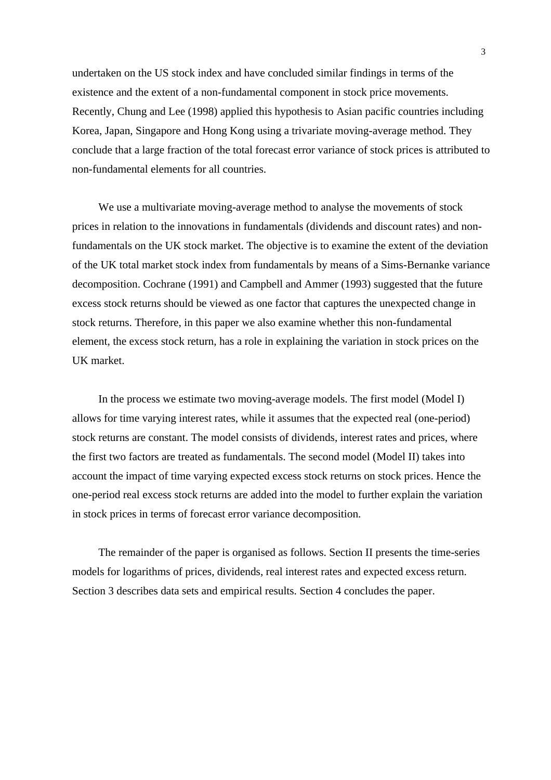undertaken on the US stock index and have concluded similar findings in terms of the existence and the extent of a non-fundamental component in stock price movements. Recently, Chung and Lee (1998) applied this hypothesis to Asian pacific countries including Korea, Japan, Singapore and Hong Kong using a trivariate moving-average method. They conclude that a large fraction of the total forecast error variance of stock prices is attributed to non-fundamental elements for all countries.

We use a multivariate moving-average method to analyse the movements of stock prices in relation to the innovations in fundamentals (dividends and discount rates) and nonfundamentals on the UK stock market. The objective is to examine the extent of the deviation of the UK total market stock index from fundamentals by means of a Sims-Bernanke variance decomposition. Cochrane (1991) and Campbell and Ammer (1993) suggested that the future excess stock returns should be viewed as one factor that captures the unexpected change in stock returns. Therefore, in this paper we also examine whether this non-fundamental element, the excess stock return, has a role in explaining the variation in stock prices on the UK market.

In the process we estimate two moving-average models. The first model (Model I) allows for time varying interest rates, while it assumes that the expected real (one-period) stock returns are constant. The model consists of dividends, interest rates and prices, where the first two factors are treated as fundamentals. The second model (Model II) takes into account the impact of time varying expected excess stock returns on stock prices. Hence the one-period real excess stock returns are added into the model to further explain the variation in stock prices in terms of forecast error variance decomposition.

The remainder of the paper is organised as follows. Section II presents the time-series models for logarithms of prices, dividends, real interest rates and expected excess return. Section 3 describes data sets and empirical results. Section 4 concludes the paper.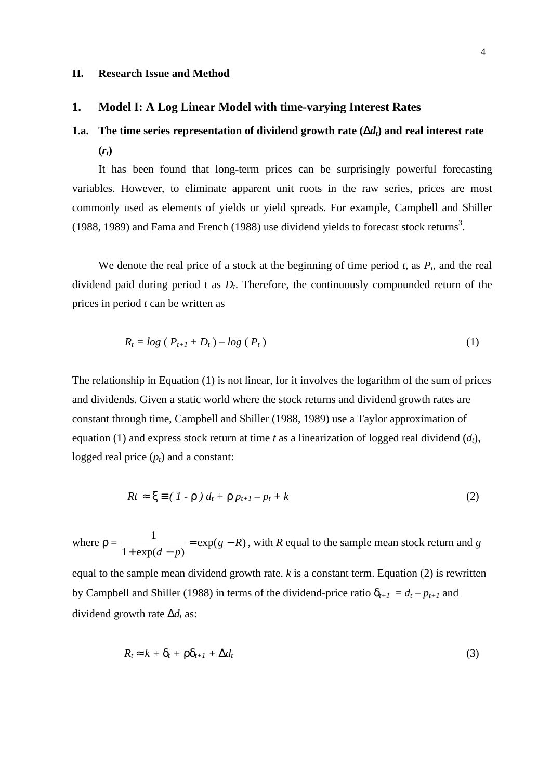#### **II. Research Issue and Method**

#### **1. Model I: A Log Linear Model with time-varying Interest Rates**

## **1.a. The time series representation of dividend growth rate (***Ddt***) and real interest rate**  $(r_t)$

It has been found that long-term prices can be surprisingly powerful forecasting variables. However, to eliminate apparent unit roots in the raw series, prices are most commonly used as elements of yields or yield spreads. For example, Campbell and Shiller (1988, 1989) and Fama and French (1988) use dividend yields to forecast stock returns<sup>3</sup>.

We denote the real price of a stock at the beginning of time period  $t$ , as  $P_t$ , and the real dividend paid during period t as *D<sup>t</sup>* . Therefore, the continuously compounded return of the prices in period *t* can be written as

$$
R_t = log (P_{t+1} + D_t) - log (P_t)
$$
\n
$$
(1)
$$

The relationship in Equation (1) is not linear, for it involves the logarithm of the sum of prices and dividends. Given a static world where the stock returns and dividend growth rates are constant through time, Campbell and Shiller (1988, 1989) use a Taylor approximation of equation (1) and express stock return at time *t* as a linearization of logged real dividend (*dt*), logged real price  $(p_t)$  and a constant:

$$
Rt \approx \mathbf{x} \cdot \mathbf{O} \left( \mathbf{1} - \mathbf{r} \right) d_t + \mathbf{r} p_{t+1} - p_t + k \tag{2}
$$

where  $\mathbf{r} = \frac{1}{\cdot \cdot \cdot \cdot} = \exp(g - R)$  $1 + \exp(d - p)$  $\frac{1}{\sqrt{1-x^2}} = \exp(g - R)$  $d-p$  $= \exp(g +$  exp( $d$  – , with *R* equal to the sample mean stock return and *g*

equal to the sample mean dividend growth rate. *k* is a constant term. Equation (2) is rewritten by Campbell and Shiller (1988) in terms of the dividend-price ratio  $d_{t+1} = d_t - p_{t+1}$  and dividend growth rate *Dd<sup>t</sup>* as:

$$
R_t \gg k + \boldsymbol{d}_t + \boldsymbol{r}\boldsymbol{d}_{t+1} + \boldsymbol{D}\boldsymbol{d}_t \tag{3}
$$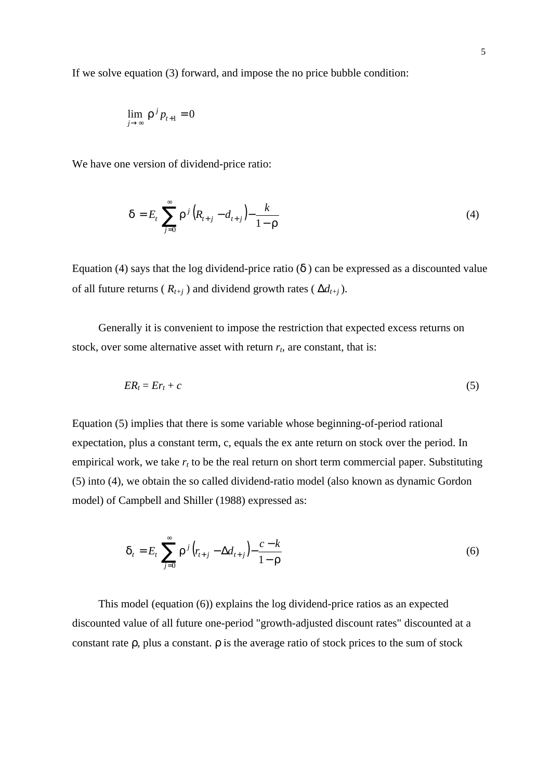If we solve equation (3) forward, and impose the no price bubble condition:

$$
\lim_{j\to\infty} \mathbf{r}^j p_{t+1} = 0
$$

We have one version of dividend-price ratio:

$$
\mathbf{d} = E_t \sum_{j=0}^{\infty} \mathbf{r}^j (R_{t+j} - d_{t+j}) - \frac{k}{1-\mathbf{r}}
$$
(4)

Equation (4) says that the log dividend-price ratio  $(d)$  can be expressed as a discounted value of all future returns ( $R_{t+i}$ ) and dividend growth rates ( $Dd_{t+i}$ ).

Generally it is convenient to impose the restriction that expected excess returns on stock, over some alternative asset with return  $r_t$ , are constant, that is:

$$
ER_t = Er_t + c \tag{5}
$$

Equation (5) implies that there is some variable whose beginning-of-period rational expectation, plus a constant term, c, equals the ex ante return on stock over the period. In empirical work, we take  $r_t$  to be the real return on short term commercial paper. Substituting (5) into (4), we obtain the so called dividend-ratio model (also known as dynamic Gordon model) of Campbell and Shiller (1988) expressed as:

$$
\boldsymbol{d}_{t} = E_{t} \sum_{j=0}^{\infty} \boldsymbol{r}^{j} \left( r_{t+j} - \Delta d_{t+j} \right) - \frac{c-k}{1-\boldsymbol{r}}
$$
\n
$$
\tag{6}
$$

This model (equation (6)) explains the log dividend-price ratios as an expected discounted value of all future one-period "growth-adjusted discount rates" discounted at a constant rate  $r$ , plus a constant.  $r$  is the average ratio of stock prices to the sum of stock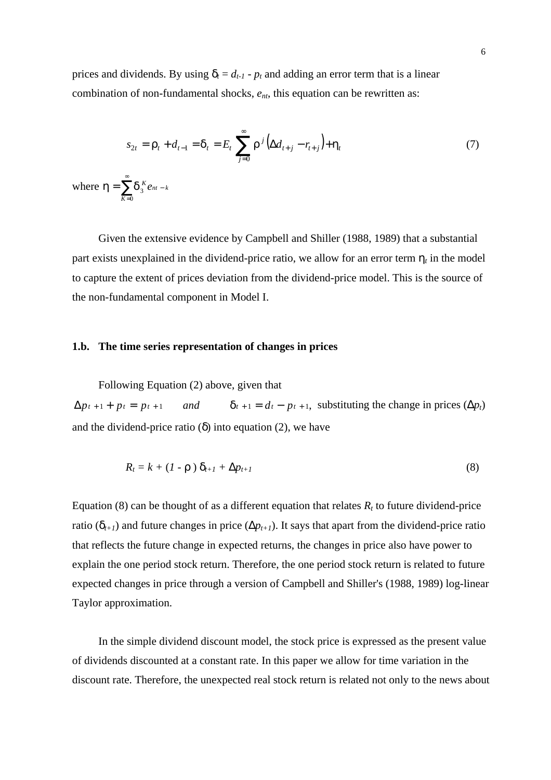prices and dividends. By using  $\mathbf{d}_t = d_{t-1} - p_t$  and adding an error term that is a linear combination of non-fundamental shocks, *ent*, this equation can be rewritten as:

$$
s_{2t} = \mathbf{r}_t + d_{t-1} = \mathbf{d}_t = E_t \sum_{j=0}^{\infty} \mathbf{r}^j (\Delta d_{t+j} - r_{t+j}) + \mathbf{h}_t
$$

$$
\mathbf{h} = \sum_{K=0}^{\infty} \mathbf{d}_3^K e_{nt-k}
$$
(7)

Given the extensive evidence by Campbell and Shiller (1988, 1989) that a substantial part exists unexplained in the dividend-price ratio, we allow for an error term  $h_t$  in the model to capture the extent of prices deviation from the dividend-price model. This is the source of the non-fundamental component in Model I.

#### **1.b. The time series representation of changes in prices**

Following Equation (2) above, given that

where

 $\Delta p_{t+1} + p_t = p_{t+1}$  *and*  $\boldsymbol{d}_{t+1} = d_t - p_{t+1}$ , substituting the change in prices  $(\boldsymbol{D} p_t)$ and the dividend-price ratio (*d*) into equation (2), we have

$$
R_t = k + (I - \mathbf{r}) \, \mathbf{d}_{t+1} + \mathbf{D} p_{t+1} \tag{8}
$$

Equation (8) can be thought of as a different equation that relates  $R_t$  to future dividend-price ratio ( $d$ <sup>*t+1*</sup>) and future changes in price ( $D$ *p*<sub>*t+1*</sub>). It says that apart from the dividend-price ratio that reflects the future change in expected returns, the changes in price also have power to explain the one period stock return. Therefore, the one period stock return is related to future expected changes in price through a version of Campbell and Shiller's (1988, 1989) log-linear Taylor approximation.

In the simple dividend discount model, the stock price is expressed as the present value of dividends discounted at a constant rate. In this paper we allow for time variation in the discount rate. Therefore, the unexpected real stock return is related not only to the news about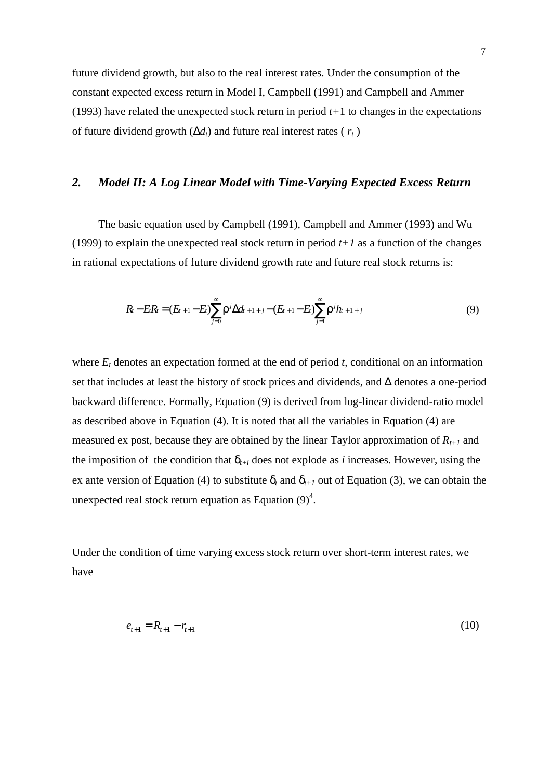future dividend growth, but also to the real interest rates. Under the consumption of the constant expected excess return in Model I, Campbell (1991) and Campbell and Ammer (1993) have related the unexpected stock return in period *t+*1 to changes in the expectations of future dividend growth  $(Dd_t)$  and future real interest rates ( $r_t$ )

## *2. Model II: A Log Linear Model with Time-Varying Expected Excess Return*

The basic equation used by Campbell (1991), Campbell and Ammer (1993) and Wu (1999) to explain the unexpected real stock return in period  $t+1$  as a function of the changes in rational expectations of future dividend growth rate and future real stock returns is:

$$
R_t - ER = (E_{t+1} - E) \sum_{j=0}^{\infty} \mathbf{r}^j \Delta d_{t+1+j} - (E_{t+1} - E) \sum_{j=1}^{\infty} \mathbf{r}^j h_{t+1+j}
$$
(9)

where  $E_t$  denotes an expectation formed at the end of period  $t$ , conditional on an information set that includes at least the history of stock prices and dividends, and *D* denotes a one-period backward difference. Formally, Equation (9) is derived from log-linear dividend-ratio model as described above in Equation (4). It is noted that all the variables in Equation (4) are measured ex post, because they are obtained by the linear Taylor approximation of  $R_{t+1}$  and the imposition of the condition that  $d_{t+i}$  does not explode as *i* increases. However, using the ex ante version of Equation (4) to substitute  $d_t$  and  $d_{t+1}$  out of Equation (3), we can obtain the unexpected real stock return equation as Equation  $(9)^4$ .

Under the condition of time varying excess stock return over short-term interest rates, we have

$$
e_{t+1} = R_{t+1} - r_{t+1} \tag{10}
$$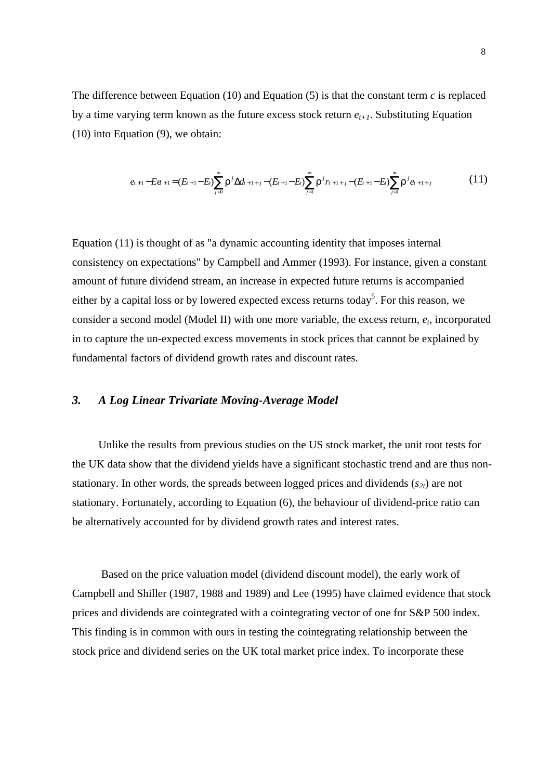The difference between Equation (10) and Equation (5) is that the constant term *c* is replaced by a time varying term known as the future excess stock return *et+1*. Substituting Equation (10) into Equation (9), we obtain:

$$
e_{t+1}-E_{\theta+1}=(E_{t+1}-E)\sum_{j=0}^{\infty}r^{j}\Delta d_{t+1+j}-(E_{t+1}-E)\sum_{j=1}^{\infty}r^{j}r_{t+1+j}-(E_{t+1}-E)\sum_{j=1}^{\infty}r^{j}e_{t+1+j}
$$
(11)

Equation (11) is thought of as "a dynamic accounting identity that imposes internal consistency on expectations" by Campbell and Ammer (1993). For instance, given a constant amount of future dividend stream, an increase in expected future returns is accompanied either by a capital loss or by lowered expected excess returns today<sup>5</sup>. For this reason, we consider a second model (Model II) with one more variable, the excess return, *e<sup>t</sup>* , incorporated in to capture the un-expected excess movements in stock prices that cannot be explained by fundamental factors of dividend growth rates and discount rates.

### *3. A Log Linear Trivariate Moving-Average Model*

Unlike the results from previous studies on the US stock market, the unit root tests for the UK data show that the dividend yields have a significant stochastic trend and are thus nonstationary. In other words, the spreads between logged prices and dividends (*s2t*) are not stationary. Fortunately, according to Equation (6), the behaviour of dividend-price ratio can be alternatively accounted for by dividend growth rates and interest rates.

 Based on the price valuation model (dividend discount model), the early work of Campbell and Shiller (1987, 1988 and 1989) and Lee (1995) have claimed evidence that stock prices and dividends are cointegrated with a cointegrating vector of one for S&P 500 index. This finding is in common with ours in testing the cointegrating relationship between the stock price and dividend series on the UK total market price index. To incorporate these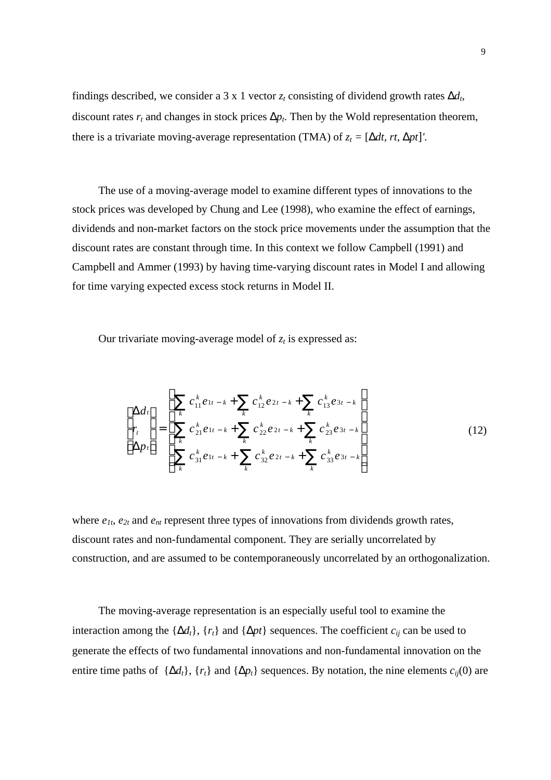findings described, we consider a 3 x 1 vector  $z_t$  consisting of dividend growth rates  $Dd_t$ , discount rates  $r_t$  and changes in stock prices  $\mathbf{D}p_t$ . Then by the Wold representation theorem, there is a trivariate moving-average representation (TMA) of  $z_t = [\mathbf{D}dt, rt, \mathbf{D}pt]$ '.

The use of a moving-average model to examine different types of innovations to the stock prices was developed by Chung and Lee (1998), who examine the effect of earnings, dividends and non-market factors on the stock price movements under the assumption that the discount rates are constant through time. In this context we follow Campbell (1991) and Campbell and Ammer (1993) by having time-varying discount rates in Model I and allowing for time varying expected excess stock returns in Model II.

Our trivariate moving-average model of  $z_t$  is expressed as:

$$
\begin{bmatrix}\n\Delta d_t \\
r_t \\
\Delta p_t\n\end{bmatrix} = \begin{bmatrix}\n\sum_k c_{11}^k e_{1t-k} + \sum_k c_{12}^k e_{2t-k} + \sum_k c_{13}^k e_{3t-k} \\
\sum_k c_{21}^k e_{1t-k} + \sum_k c_{22}^k e_{2t-k} + \sum_k c_{23}^k e_{3t-k} \\
\sum_k c_{31}^k e_{1t-k} + \sum_k c_{32}^k e_{2t-k} + \sum_k c_{33}^k e_{3t-k}\n\end{bmatrix}
$$
\n(12)

where  $e_{1t}$ ,  $e_{2t}$  and  $e_{nt}$  represent three types of innovations from dividends growth rates, discount rates and non-fundamental component. They are serially uncorrelated by construction, and are assumed to be contemporaneously uncorrelated by an orthogonalization.

The moving-average representation is an especially useful tool to examine the interaction among the  $\{Dd_t\}$ ,  $\{r_t\}$  and  $\{Dpt\}$  sequences. The coefficient  $c_{ii}$  can be used to generate the effects of two fundamental innovations and non-fundamental innovation on the entire time paths of  $\{D\mathcal{d}_t\}$ ,  $\{r_t\}$  and  $\{D\mathcal{p}_t\}$  sequences. By notation, the nine elements  $c_{ij}(0)$  are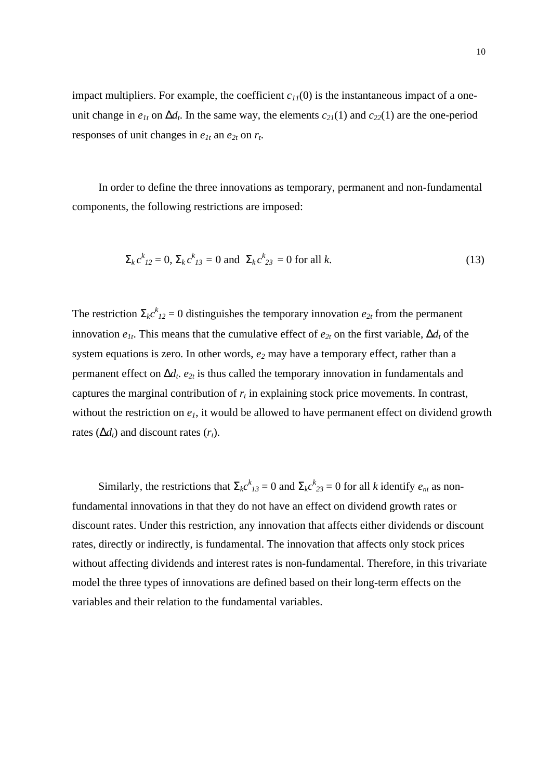impact multipliers. For example, the coefficient  $c_{11}(0)$  is the instantaneous impact of a oneunit change in  $e_{1t}$  on  $\mathbf{D}d_t$ . In the same way, the elements  $c_{21}(1)$  and  $c_{22}(1)$  are the one-period responses of unit changes in  $e_{1t}$  an  $e_{2t}$  on  $r_t$ .

In order to define the three innovations as temporary, permanent and non-fundamental components, the following restrictions are imposed:

$$
\Sigma_k c^k_{12} = 0, \Sigma_k c^k_{13} = 0 \text{ and } \Sigma_k c^k_{23} = 0 \text{ for all } k. \tag{13}
$$

The restriction  $\Sigma_k c^k_{12} = 0$  distinguishes the temporary innovation  $e_{2t}$  from the permanent innovation  $e_{1t}$ . This means that the cumulative effect of  $e_{2t}$  on the first variable,  $\mathbf{D}d_t$  of the system equations is zero. In other words, *e2* may have a temporary effect, rather than a permanent effect on *Dd<sup>t</sup>* . *e2t* is thus called the temporary innovation in fundamentals and captures the marginal contribution of  $r<sub>t</sub>$  in explaining stock price movements. In contrast, without the restriction on  $e_1$ , it would be allowed to have permanent effect on dividend growth rates  $(Dd_t)$  and discount rates  $(r_t)$ .

Similarly, the restrictions that  $\Sigma_k c^k{}_{13} = 0$  and  $\Sigma_k c^k{}_{23} = 0$  for all *k* identify  $e_{nt}$  as nonfundamental innovations in that they do not have an effect on dividend growth rates or discount rates. Under this restriction, any innovation that affects either dividends or discount rates, directly or indirectly, is fundamental. The innovation that affects only stock prices without affecting dividends and interest rates is non-fundamental. Therefore, in this trivariate model the three types of innovations are defined based on their long-term effects on the variables and their relation to the fundamental variables.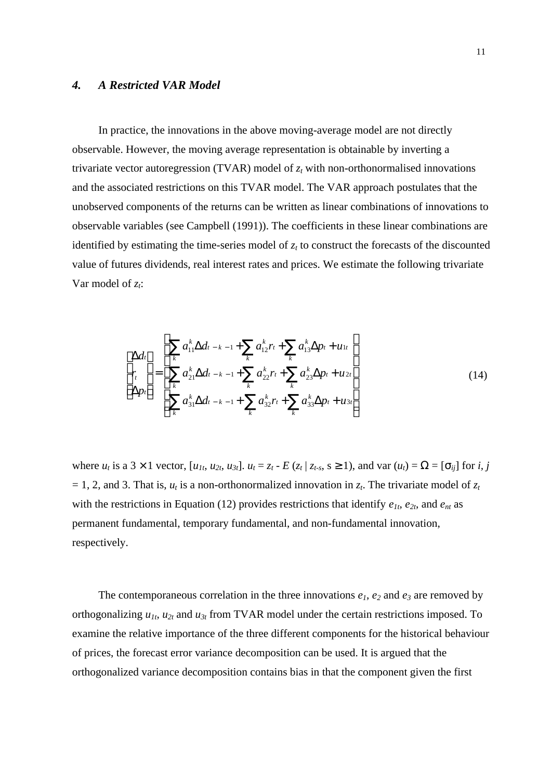#### *4. A Restricted VAR Model*

In practice, the innovations in the above moving-average model are not directly observable. However, the moving average representation is obtainable by inverting a trivariate vector autoregression (TVAR) model of *z<sup>t</sup>* with non-orthonormalised innovations and the associated restrictions on this TVAR model. The VAR approach postulates that the unobserved components of the returns can be written as linear combinations of innovations to observable variables (see Campbell (1991)). The coefficients in these linear combinations are identified by estimating the time-series model of  $z<sub>t</sub>$  to construct the forecasts of the discounted value of futures dividends, real interest rates and prices. We estimate the following trivariate Var model of *zt*:

$$
\begin{bmatrix}\n\Delta d_t \\
r_t \\
\Delta p_t\n\end{bmatrix} = \begin{bmatrix}\n\sum_k a_{11}^k \Delta d_{t-k-1} + \sum_k a_{12}^k r_t + \sum_k a_{13}^k \Delta p_t + u_{1t} \\
\sum_k a_{21}^k \Delta d_{t-k-1} + \sum_k a_{22}^k r_t + \sum_k a_{23}^k \Delta p_t + u_{2t} \\
\sum_k a_{31}^k \Delta d_{t-k-1} + \sum_k a_{32}^k r_t + \sum_k a_{33}^k \Delta p_t + u_{3t}\n\end{bmatrix}
$$
\n(14)

where  $u_t$  is a 3 × 1 vector,  $[u_{1t}, u_{2t}, u_{3t}]$ .  $u_t = z_t - E(z_t | z_{t-s}, s \ge 1)$ , and var  $(u_t) = W = [\mathbf{s}_{ij}]$  for i, j  $= 1, 2$ , and 3. That is,  $u_t$  is a non-orthonormalized innovation in  $z_t$ . The trivariate model of  $z_t$ with the restrictions in Equation (12) provides restrictions that identify  $e_{1t}$ ,  $e_{2t}$ , and  $e_{nt}$  as permanent fundamental, temporary fundamental, and non-fundamental innovation, respectively.

The contemporaneous correlation in the three innovations  $e_1$ ,  $e_2$  and  $e_3$  are removed by orthogonalizing  $u_{1t}$ ,  $u_{2t}$  and  $u_{3t}$  from TVAR model under the certain restrictions imposed. To examine the relative importance of the three different components for the historical behaviour of prices, the forecast error variance decomposition can be used. It is argued that the orthogonalized variance decomposition contains bias in that the component given the first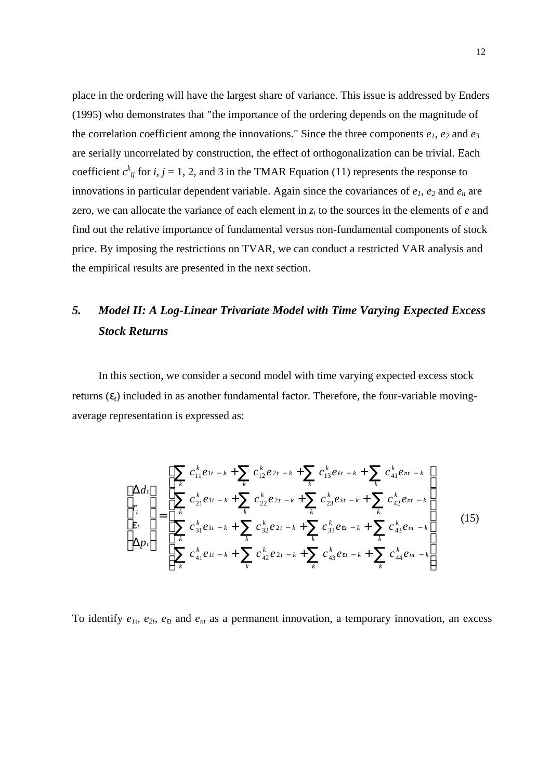place in the ordering will have the largest share of variance. This issue is addressed by Enders (1995) who demonstrates that "the importance of the ordering depends on the magnitude of the correlation coefficient among the innovations." Since the three components  $e_1$ ,  $e_2$  and  $e_3$ are serially uncorrelated by construction, the effect of orthogonalization can be trivial. Each coefficient  $c^k_{ij}$  for *i, j* = 1, 2, and 3 in the TMAR Equation (11) represents the response to innovations in particular dependent variable. Again since the covariances of *e1*, *e2* and *en* are zero, we can allocate the variance of each element in  $z_t$  to the sources in the elements of  $e$  and find out the relative importance of fundamental versus non-fundamental components of stock price. By imposing the restrictions on TVAR, we can conduct a restricted VAR analysis and the empirical results are presented in the next section.

## *5. Model II: A Log-Linear Trivariate Model with Time Varying Expected Excess Stock Returns*

In this section, we consider a second model with time varying expected excess stock returns (*et*) included in as another fundamental factor. Therefore, the four-variable movingaverage representation is expressed as:

$$
\begin{bmatrix}\n\Delta d_t \\
r_t \\
\Delta p_t\n\end{bmatrix} = \begin{bmatrix}\n\sum_{k} c_{11}^{k} e_{1t-k} + \sum_{k} c_{12}^{k} e_{2t-k} + \sum_{k} c_{13}^{k} e_{\theta t-k} + \sum_{k} c_{41}^{k} e_{\theta t-k} \\
\sum_{k} c_{21}^{k} e_{1t-k} + \sum_{k} c_{22}^{k} e_{2t-k} + \sum_{k} c_{23}^{k} e_{\theta t-k} + \sum_{k} c_{42}^{k} e_{\theta t-k} \\
\sum_{k} c_{31}^{k} e_{1t-k} + \sum_{k} c_{32}^{k} e_{2t-k} + \sum_{k} c_{33}^{k} e_{\theta t-k} + \sum_{k} c_{43}^{k} e_{\theta t-k} \\
\sum_{k} c_{41}^{k} e_{1t-k} + \sum_{k} c_{42}^{k} e_{2t-k} + \sum_{k} c_{43}^{k} e_{\theta t-k} + \sum_{k} c_{44}^{k} e_{\theta t-k}\n\end{bmatrix}
$$
\n(15)

To identify  $e_{1t}$ ,  $e_{2t}$ ,  $e_{et}$  and  $e_{nt}$  as a permanent innovation, a temporary innovation, an excess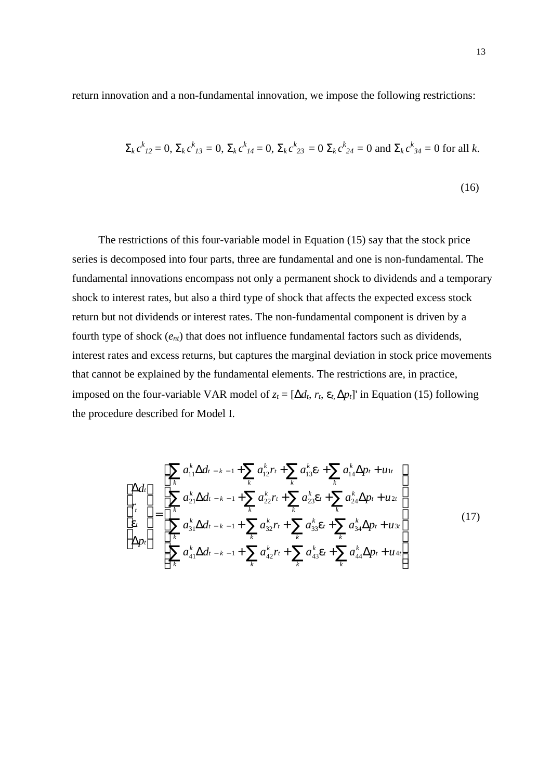return innovation and a non-fundamental innovation, we impose the following restrictions:

$$
\Sigma_k c_{12}^k = 0, \Sigma_k c_{13}^k = 0, \Sigma_k c_{14}^k = 0, \Sigma_k c_{23}^k = 0 \Sigma_k c_{24}^k = 0 \text{ and } \Sigma_k c_{34}^k = 0 \text{ for all } k.
$$
\n(16)

The restrictions of this four-variable model in Equation (15) say that the stock price series is decomposed into four parts, three are fundamental and one is non-fundamental. The fundamental innovations encompass not only a permanent shock to dividends and a temporary shock to interest rates, but also a third type of shock that affects the expected excess stock return but not dividends or interest rates. The non-fundamental component is driven by a fourth type of shock (*ent*) that does not influence fundamental factors such as dividends, interest rates and excess returns, but captures the marginal deviation in stock price movements that cannot be explained by the fundamental elements. The restrictions are, in practice, imposed on the four-variable VAR model of  $z_t = [\mathbf{D}d_t, r_t, \mathbf{e}_t, \mathbf{D}p_t]$  in Equation (15) following the procedure described for Model I.

$$
\begin{bmatrix}\n\Delta d_{t} \\
r_{t} \\
\Delta p_{t}\n\end{bmatrix} = \begin{bmatrix}\n\sum_{k} a_{11}^{k} \Delta d_{t-k-1} + \sum_{k} a_{12}^{k} r_{t} + \sum_{k} a_{13}^{k} \mathbf{e}_{t} + \sum_{k} a_{14}^{k} \Delta p_{t} + u_{1t} \\
\sum_{k} a_{21}^{k} \Delta d_{t-k-1} + \sum_{k} a_{22}^{k} r_{t} + \sum_{k} a_{23}^{k} \mathbf{e}_{t} + \sum_{k} a_{24}^{k} \Delta p_{t} + u_{2t} \\
\sum_{k} a_{31}^{k} \Delta d_{t-k-1} + \sum_{k} a_{32}^{k} r_{t} + \sum_{k} a_{33}^{k} \mathbf{e}_{t} + \sum_{k} a_{34}^{k} \Delta p_{t} + u_{3t} \\
\sum_{k} a_{41}^{k} \Delta d_{t-k-1} + \sum_{k} a_{42}^{k} r_{t} + \sum_{k} a_{43}^{k} \mathbf{e}_{t} + \sum_{k} a_{44}^{k} \Delta p_{t} + u_{4t}\n\end{bmatrix}
$$
\n(17)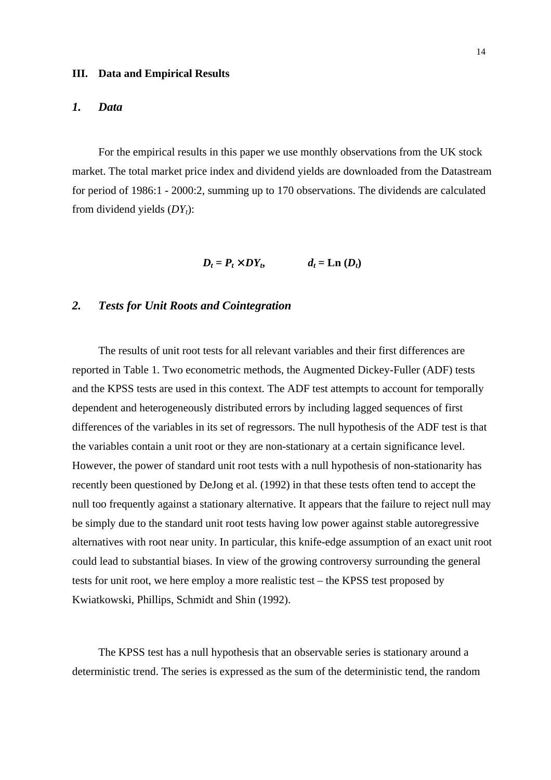#### **III. Data and Empirical Results**

#### *1. Data*

For the empirical results in this paper we use monthly observations from the UK stock market. The total market price index and dividend yields are downloaded from the Datastream for period of 1986:1 - 2000:2, summing up to 170 observations. The dividends are calculated from dividend yields (*DYt*):

$$
D_t = P_t \cdot DY_t, \qquad d_t = \text{Ln} \ (D_t)
$$

#### *2. Tests for Unit Roots and Cointegration*

The results of unit root tests for all relevant variables and their first differences are reported in Table 1. Two econometric methods, the Augmented Dickey-Fuller (ADF) tests and the KPSS tests are used in this context. The ADF test attempts to account for temporally dependent and heterogeneously distributed errors by including lagged sequences of first differences of the variables in its set of regressors. The null hypothesis of the ADF test is that the variables contain a unit root or they are non-stationary at a certain significance level. However, the power of standard unit root tests with a null hypothesis of non-stationarity has recently been questioned by DeJong et al. (1992) in that these tests often tend to accept the null too frequently against a stationary alternative. It appears that the failure to reject null may be simply due to the standard unit root tests having low power against stable autoregressive alternatives with root near unity. In particular, this knife-edge assumption of an exact unit root could lead to substantial biases. In view of the growing controversy surrounding the general tests for unit root, we here employ a more realistic test – the KPSS test proposed by Kwiatkowski, Phillips, Schmidt and Shin (1992).

The KPSS test has a null hypothesis that an observable series is stationary around a deterministic trend. The series is expressed as the sum of the deterministic tend, the random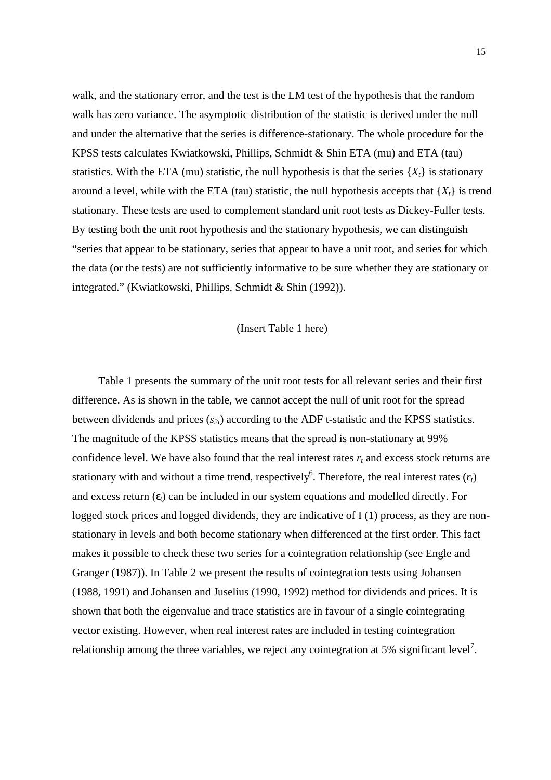walk, and the stationary error, and the test is the LM test of the hypothesis that the random walk has zero variance. The asymptotic distribution of the statistic is derived under the null and under the alternative that the series is difference-stationary. The whole procedure for the KPSS tests calculates Kwiatkowski, Phillips, Schmidt & Shin ETA (mu) and ETA (tau) statistics. With the ETA (mu) statistic, the null hypothesis is that the series  $\{X_t\}$  is stationary around a level, while with the ETA (tau) statistic, the null hypothesis accepts that  ${X_t}$  is trend stationary. These tests are used to complement standard unit root tests as Dickey-Fuller tests. By testing both the unit root hypothesis and the stationary hypothesis, we can distinguish "series that appear to be stationary, series that appear to have a unit root, and series for which the data (or the tests) are not sufficiently informative to be sure whether they are stationary or integrated." (Kwiatkowski, Phillips, Schmidt & Shin (1992)).

#### (Insert Table 1 here)

Table 1 presents the summary of the unit root tests for all relevant series and their first difference. As is shown in the table, we cannot accept the null of unit root for the spread between dividends and prices (*s2t*) according to the ADF t-statistic and the KPSS statistics. The magnitude of the KPSS statistics means that the spread is non-stationary at 99% confidence level. We have also found that the real interest rates  $r_t$  and excess stock returns are stationary with and without a time trend, respectively<sup>6</sup>. Therefore, the real interest rates  $(r_t)$ and excess return (*et*) can be included in our system equations and modelled directly. For logged stock prices and logged dividends, they are indicative of I (1) process, as they are nonstationary in levels and both become stationary when differenced at the first order. This fact makes it possible to check these two series for a cointegration relationship (see Engle and Granger (1987)). In Table 2 we present the results of cointegration tests using Johansen (1988, 1991) and Johansen and Juselius (1990, 1992) method for dividends and prices. It is shown that both the eigenvalue and trace statistics are in favour of a single cointegrating vector existing. However, when real interest rates are included in testing cointegration relationship among the three variables, we reject any cointegration at 5% significant level<sup>7</sup>.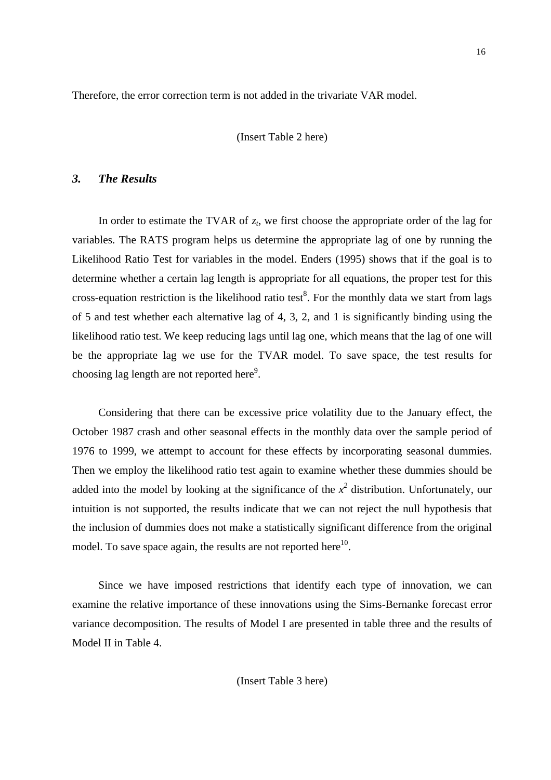Therefore, the error correction term is not added in the trivariate VAR model.

#### (Insert Table 2 here)

### *3. The Results*

In order to estimate the TVAR of  $z_t$ , we first choose the appropriate order of the lag for variables. The RATS program helps us determine the appropriate lag of one by running the Likelihood Ratio Test for variables in the model. Enders (1995) shows that if the goal is to determine whether a certain lag length is appropriate for all equations, the proper test for this cross-equation restriction is the likelihood ratio test<sup>8</sup>. For the monthly data we start from lags of 5 and test whether each alternative lag of 4, 3, 2, and 1 is significantly binding using the likelihood ratio test. We keep reducing lags until lag one, which means that the lag of one will be the appropriate lag we use for the TVAR model. To save space, the test results for choosing lag length are not reported here $9$ .

Considering that there can be excessive price volatility due to the January effect, the October 1987 crash and other seasonal effects in the monthly data over the sample period of 1976 to 1999, we attempt to account for these effects by incorporating seasonal dummies. Then we employ the likelihood ratio test again to examine whether these dummies should be added into the model by looking at the significance of the  $x^2$  distribution. Unfortunately, our intuition is not supported, the results indicate that we can not reject the null hypothesis that the inclusion of dummies does not make a statistically significant difference from the original model. To save space again, the results are not reported here $^{10}$ .

Since we have imposed restrictions that identify each type of innovation, we can examine the relative importance of these innovations using the Sims-Bernanke forecast error variance decomposition. The results of Model I are presented in table three and the results of Model II in Table 4.

(Insert Table 3 here)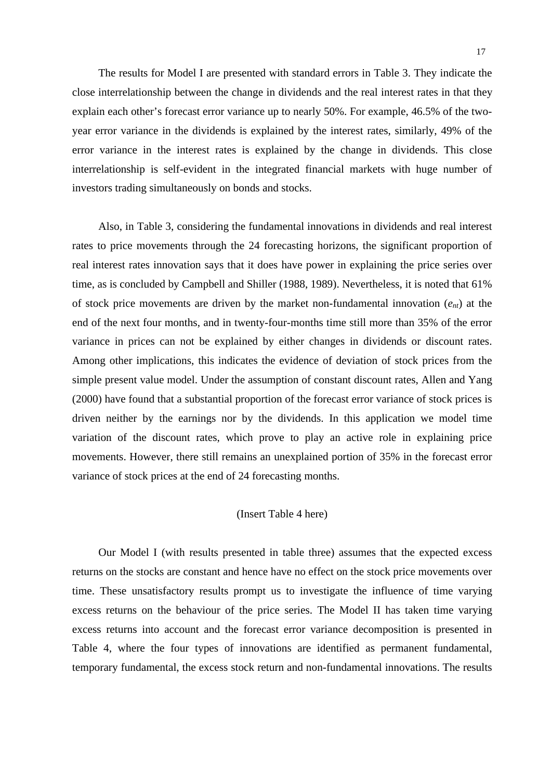The results for Model I are presented with standard errors in Table 3. They indicate the close interrelationship between the change in dividends and the real interest rates in that they explain each other's forecast error variance up to nearly 50%. For example, 46.5% of the twoyear error variance in the dividends is explained by the interest rates, similarly, 49% of the error variance in the interest rates is explained by the change in dividends. This close interrelationship is self-evident in the integrated financial markets with huge number of investors trading simultaneously on bonds and stocks.

Also, in Table 3, considering the fundamental innovations in dividends and real interest rates to price movements through the 24 forecasting horizons, the significant proportion of real interest rates innovation says that it does have power in explaining the price series over time, as is concluded by Campbell and Shiller (1988, 1989). Nevertheless, it is noted that 61% of stock price movements are driven by the market non-fundamental innovation  $(e_{nt})$  at the end of the next four months, and in twenty-four-months time still more than 35% of the error variance in prices can not be explained by either changes in dividends or discount rates. Among other implications, this indicates the evidence of deviation of stock prices from the simple present value model. Under the assumption of constant discount rates, Allen and Yang (2000) have found that a substantial proportion of the forecast error variance of stock prices is driven neither by the earnings nor by the dividends. In this application we model time variation of the discount rates, which prove to play an active role in explaining price movements. However, there still remains an unexplained portion of 35% in the forecast error variance of stock prices at the end of 24 forecasting months.

#### (Insert Table 4 here)

Our Model I (with results presented in table three) assumes that the expected excess returns on the stocks are constant and hence have no effect on the stock price movements over time. These unsatisfactory results prompt us to investigate the influence of time varying excess returns on the behaviour of the price series. The Model II has taken time varying excess returns into account and the forecast error variance decomposition is presented in Table 4, where the four types of innovations are identified as permanent fundamental, temporary fundamental, the excess stock return and non-fundamental innovations. The results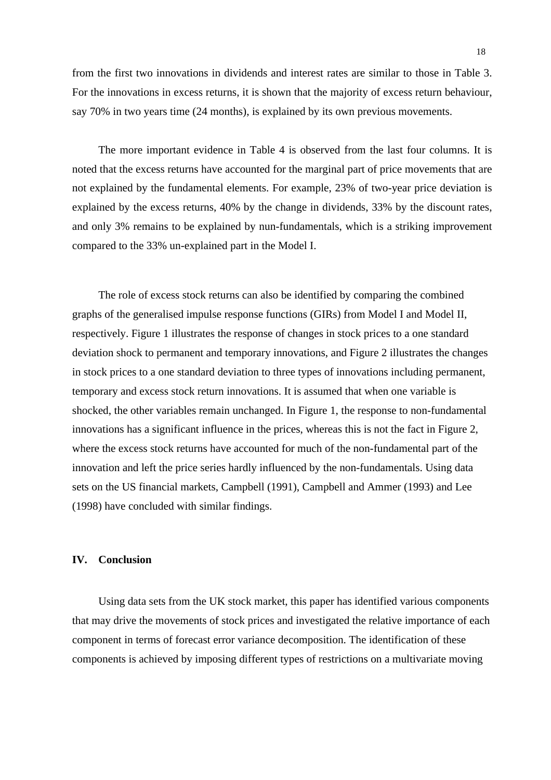from the first two innovations in dividends and interest rates are similar to those in Table 3. For the innovations in excess returns, it is shown that the majority of excess return behaviour, say 70% in two years time (24 months), is explained by its own previous movements.

The more important evidence in Table 4 is observed from the last four columns. It is noted that the excess returns have accounted for the marginal part of price movements that are not explained by the fundamental elements. For example, 23% of two-year price deviation is explained by the excess returns, 40% by the change in dividends, 33% by the discount rates, and only 3% remains to be explained by nun-fundamentals, which is a striking improvement compared to the 33% un-explained part in the Model I.

The role of excess stock returns can also be identified by comparing the combined graphs of the generalised impulse response functions (GIRs) from Model I and Model II, respectively. Figure 1 illustrates the response of changes in stock prices to a one standard deviation shock to permanent and temporary innovations, and Figure 2 illustrates the changes in stock prices to a one standard deviation to three types of innovations including permanent, temporary and excess stock return innovations. It is assumed that when one variable is shocked, the other variables remain unchanged. In Figure 1, the response to non-fundamental innovations has a significant influence in the prices, whereas this is not the fact in Figure 2, where the excess stock returns have accounted for much of the non-fundamental part of the innovation and left the price series hardly influenced by the non-fundamentals. Using data sets on the US financial markets, Campbell (1991), Campbell and Ammer (1993) and Lee (1998) have concluded with similar findings.

#### **IV. Conclusion**

Using data sets from the UK stock market, this paper has identified various components that may drive the movements of stock prices and investigated the relative importance of each component in terms of forecast error variance decomposition. The identification of these components is achieved by imposing different types of restrictions on a multivariate moving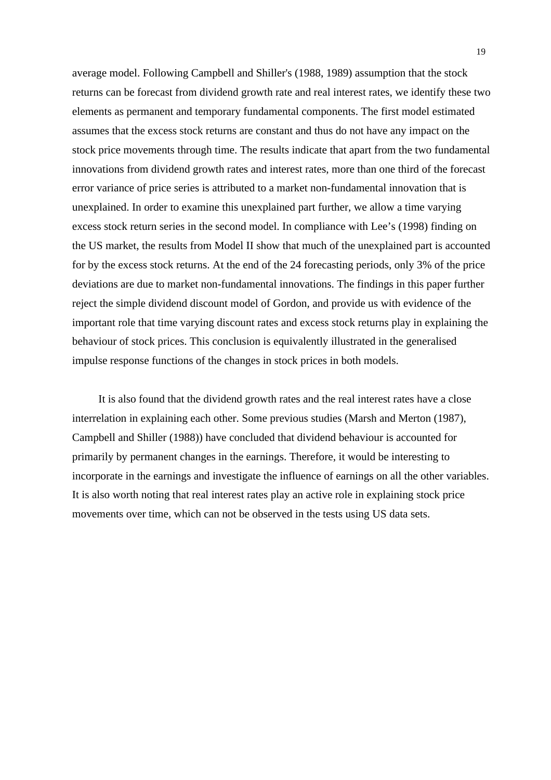average model. Following Campbell and Shiller's (1988, 1989) assumption that the stock returns can be forecast from dividend growth rate and real interest rates, we identify these two elements as permanent and temporary fundamental components. The first model estimated assumes that the excess stock returns are constant and thus do not have any impact on the stock price movements through time. The results indicate that apart from the two fundamental innovations from dividend growth rates and interest rates, more than one third of the forecast error variance of price series is attributed to a market non-fundamental innovation that is unexplained. In order to examine this unexplained part further, we allow a time varying excess stock return series in the second model. In compliance with Lee's (1998) finding on the US market, the results from Model II show that much of the unexplained part is accounted for by the excess stock returns. At the end of the 24 forecasting periods, only 3% of the price deviations are due to market non-fundamental innovations. The findings in this paper further reject the simple dividend discount model of Gordon, and provide us with evidence of the important role that time varying discount rates and excess stock returns play in explaining the behaviour of stock prices. This conclusion is equivalently illustrated in the generalised impulse response functions of the changes in stock prices in both models.

It is also found that the dividend growth rates and the real interest rates have a close interrelation in explaining each other. Some previous studies (Marsh and Merton (1987), Campbell and Shiller (1988)) have concluded that dividend behaviour is accounted for primarily by permanent changes in the earnings. Therefore, it would be interesting to incorporate in the earnings and investigate the influence of earnings on all the other variables. It is also worth noting that real interest rates play an active role in explaining stock price movements over time, which can not be observed in the tests using US data sets.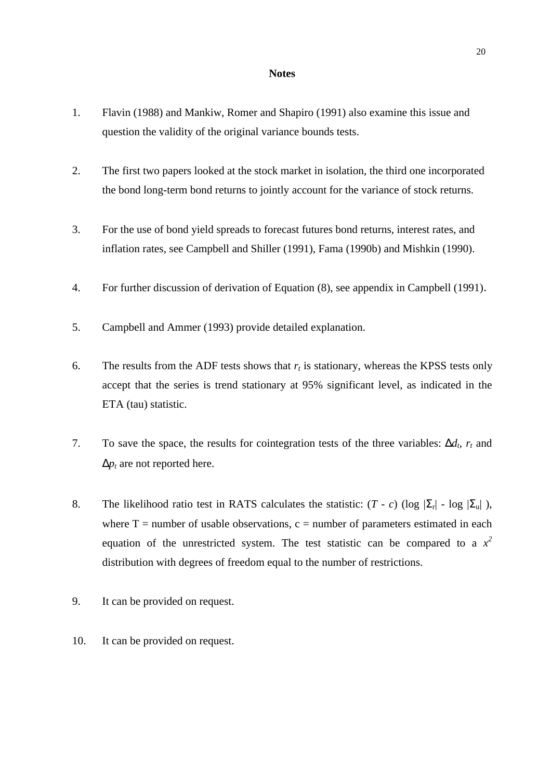#### **Notes**

- 1. Flavin (1988) and Mankiw, Romer and Shapiro (1991) also examine this issue and question the validity of the original variance bounds tests.
- 2. The first two papers looked at the stock market in isolation, the third one incorporated the bond long-term bond returns to jointly account for the variance of stock returns.
- 3. For the use of bond yield spreads to forecast futures bond returns, interest rates, and inflation rates, see Campbell and Shiller (1991), Fama (1990b) and Mishkin (1990).
- 4. For further discussion of derivation of Equation (8), see appendix in Campbell (1991).
- 5. Campbell and Ammer (1993) provide detailed explanation.
- 6. The results from the ADF tests shows that  $r_t$  is stationary, whereas the KPSS tests only accept that the series is trend stationary at 95% significant level, as indicated in the ETA (tau) statistic.
- 7. To save the space, the results for cointegration tests of the three variables:  $Dd_t$ ,  $r_t$  and  $\mathbf{D} p_t$  are not reported here.
- 8. The likelihood ratio test in RATS calculates the statistic:  $(T c)$  (log  $|\Sigma_{r}| \log |\Sigma_{u}|$ ), where  $T =$  number of usable observations,  $c =$  number of parameters estimated in each equation of the unrestricted system. The test statistic can be compared to a  $x^2$ distribution with degrees of freedom equal to the number of restrictions.
- 9. It can be provided on request.
- 10. It can be provided on request.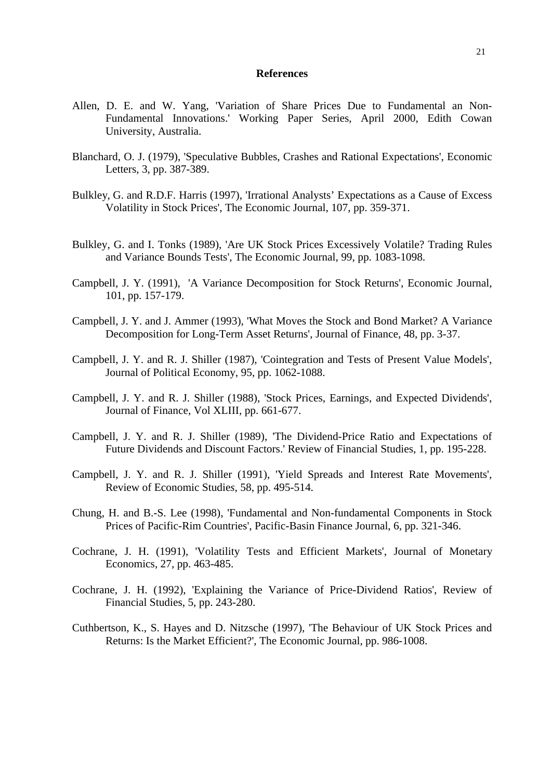#### **References**

- Allen, D. E. and W. Yang, 'Variation of Share Prices Due to Fundamental an Non-Fundamental Innovations.' Working Paper Series, April 2000, Edith Cowan University, Australia.
- Blanchard, O. J. (1979), 'Speculative Bubbles, Crashes and Rational Expectations', Economic Letters, 3, pp. 387-389.
- Bulkley, G. and R.D.F. Harris (1997), 'Irrational Analysts' Expectations as a Cause of Excess Volatility in Stock Prices', The Economic Journal, 107, pp. 359-371.
- Bulkley, G. and I. Tonks (1989), 'Are UK Stock Prices Excessively Volatile? Trading Rules and Variance Bounds Tests', The Economic Journal, 99, pp. 1083-1098.
- Campbell, J. Y. (1991), 'A Variance Decomposition for Stock Returns', Economic Journal, 101, pp. 157-179.
- Campbell, J. Y. and J. Ammer (1993), 'What Moves the Stock and Bond Market? A Variance Decomposition for Long-Term Asset Returns', Journal of Finance, 48, pp. 3-37.
- Campbell, J. Y. and R. J. Shiller (1987), 'Cointegration and Tests of Present Value Models', Journal of Political Economy, 95, pp. 1062-1088.
- Campbell, J. Y. and R. J. Shiller (1988), 'Stock Prices, Earnings, and Expected Dividends', Journal of Finance, Vol XLIII, pp. 661-677.
- Campbell, J. Y. and R. J. Shiller (1989), 'The Dividend-Price Ratio and Expectations of Future Dividends and Discount Factors.' Review of Financial Studies, 1, pp. 195-228.
- Campbell, J. Y. and R. J. Shiller (1991), 'Yield Spreads and Interest Rate Movements', Review of Economic Studie*s*, 58, pp. 495-514.
- Chung, H. and B.-S. Lee (1998), 'Fundamental and Non-fundamental Components in Stock Prices of Pacific-Rim Countries', Pacific-Basin Finance Journal, 6, pp. 321-346.
- Cochrane, J. H. (1991), 'Volatility Tests and Efficient Markets', Journal of Monetary Economics, 27, pp. 463-485.
- Cochrane, J. H. (1992), 'Explaining the Variance of Price-Dividend Ratios', Review of Financial Studies, 5, pp. 243-280.
- Cuthbertson, K., S. Hayes and D. Nitzsche (1997), 'The Behaviour of UK Stock Prices and Returns: Is the Market Efficient?', The Economic Journal, pp. 986-1008.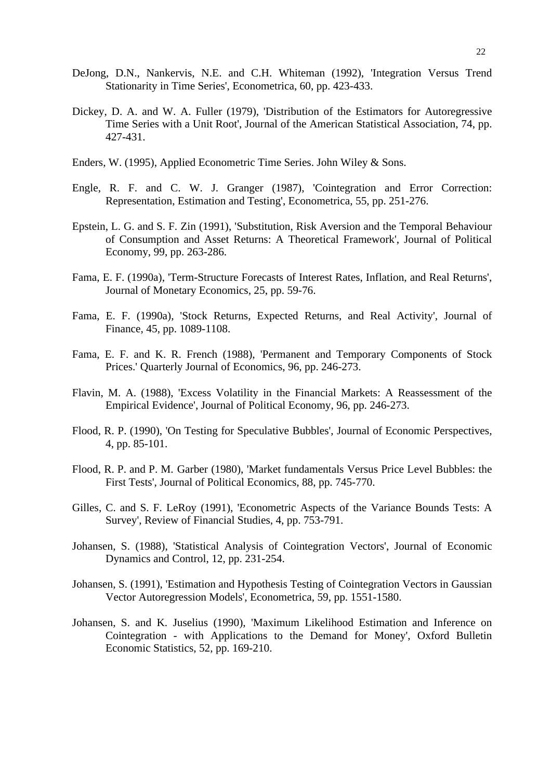- DeJong, D.N., Nankervis, N.E. and C.H. Whiteman (1992), 'Integration Versus Trend Stationarity in Time Series', Econometrica, 60, pp. 423-433.
- Dickey, D. A. and W. A. Fuller (1979), 'Distribution of the Estimators for Autoregressive Time Series with a Unit Root', Journal of the American Statistical Association, 74, pp. 427-431.
- Enders, W. (1995), Applied Econometric Time Series. John Wiley & Sons.
- Engle, R. F. and C. W. J. Granger (1987), 'Cointegration and Error Correction: Representation, Estimation and Testing', Econometrica, 55, pp. 251-276.
- Epstein, L. G. and S. F. Zin (1991), 'Substitution, Risk Aversion and the Temporal Behaviour of Consumption and Asset Returns: A Theoretical Framework', Journal of Political Economy, 99, pp. 263-286.
- Fama, E. F. (1990a), 'Term-Structure Forecasts of Interest Rates, Inflation, and Real Returns', Journal of Monetary Economics*,* 25, pp. 59-76.
- Fama, E. F. (1990a), 'Stock Returns, Expected Returns, and Real Activity', Journal of Finance, 45, pp. 1089-1108.
- Fama, E. F. and K. R. French (1988), 'Permanent and Temporary Components of Stock Prices.' Quarterly Journal of Economics, 96, pp. 246-273.
- Flavin, M. A. (1988), 'Excess Volatility in the Financial Markets: A Reassessment of the Empirical Evidence', Journal of Political Economy, 96, pp. 246-273.
- Flood, R. P. (1990), 'On Testing for Speculative Bubbles', Journal of Economic Perspectives, 4, pp. 85-101.
- Flood, R. P. and P. M. Garber (1980), 'Market fundamentals Versus Price Level Bubbles: the First Tests', Journal of Political Economics, 88, pp. 745-770.
- Gilles, C. and S. F. LeRoy (1991), 'Econometric Aspects of the Variance Bounds Tests: A Survey', Review of Financial Studies, 4, pp. 753-791.
- Johansen, S. (1988), 'Statistical Analysis of Cointegration Vectors', Journal of Economic Dynamics and Control, 12, pp. 231-254.
- Johansen, S. (1991), 'Estimation and Hypothesis Testing of Cointegration Vectors in Gaussian Vector Autoregression Models', Econometrica, 59, pp. 1551-1580.
- Johansen, S. and K. Juselius (1990), 'Maximum Likelihood Estimation and Inference on Cointegration - with Applications to the Demand for Money', Oxford Bulletin Economic Statistics, 52, pp. 169-210.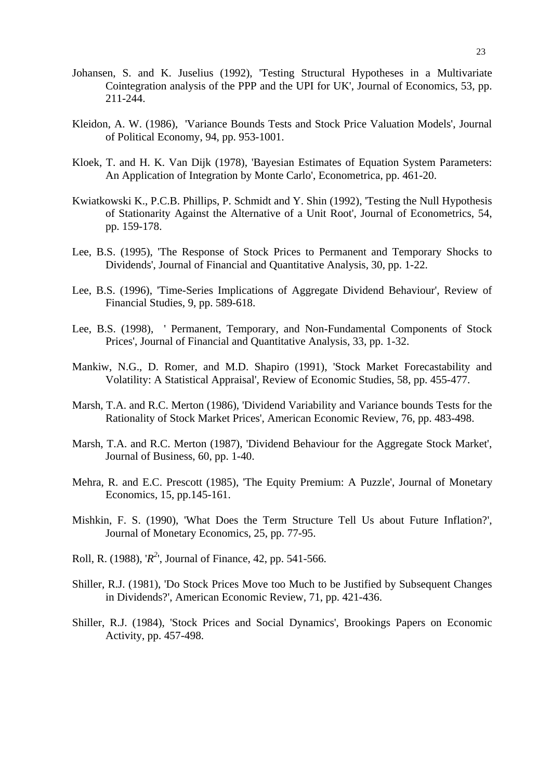- Johansen, S. and K. Juselius (1992), 'Testing Structural Hypotheses in a Multivariate Cointegration analysis of the PPP and the UPI for UK', Journal of Economics, 53, pp. 211-244.
- Kleidon, A. W. (1986), 'Variance Bounds Tests and Stock Price Valuation Models', Journal of Political Economy, 94, pp. 953-1001.
- Kloek, T. and H. K. Van Dijk (1978), 'Bayesian Estimates of Equation System Parameters: An Application of Integration by Monte Carlo', Econometrica, pp. 461-20.
- Kwiatkowski K., P.C.B. Phillips, P. Schmidt and Y. Shin (1992), 'Testing the Null Hypothesis of Stationarity Against the Alternative of a Unit Root', Journal of Econometrics, 54, pp. 159-178.
- Lee, B.S. (1995), 'The Response of Stock Prices to Permanent and Temporary Shocks to Dividends', Journal of Financial and Quantitative Analysis*,* 30, pp. 1-22.
- Lee, B.S. (1996), 'Time-Series Implications of Aggregate Dividend Behaviour', Review of Financial Studies, 9, pp. 589-618.
- Lee, B.S. (1998), ' Permanent, Temporary, and Non-Fundamental Components of Stock Prices', Journal of Financial and Quantitative Analysis, 33, pp. 1-32.
- Mankiw, N.G., D. Romer, and M.D. Shapiro (1991), 'Stock Market Forecastability and Volatility: A Statistical Appraisal', Review of Economic Studies, 58, pp. 455-477.
- Marsh, T.A. and R.C. Merton (1986), 'Dividend Variability and Variance bounds Tests for the Rationality of Stock Market Prices', American Economic Review, 76, pp. 483-498.
- Marsh, T.A. and R.C. Merton (1987), 'Dividend Behaviour for the Aggregate Stock Market', Journal of Business, 60, pp. 1-40.
- Mehra, R. and E.C. Prescott (1985), 'The Equity Premium: A Puzzle', Journal of Monetary Economics*,* 15, pp.145-161.
- Mishkin, F. S. (1990), 'What Does the Term Structure Tell Us about Future Inflation?', Journal of Monetary Economics, 25, pp. 77-95.
- Roll, R. (1988), '*R*<sup>2</sup>', Journal of Finance, 42, pp. 541-566.
- Shiller, R.J. (1981), 'Do Stock Prices Move too Much to be Justified by Subsequent Changes in Dividends?', American Economic Review, 71, pp. 421-436.
- Shiller, R.J. (1984), 'Stock Prices and Social Dynamics', Brookings Papers on Economic Activity, pp. 457-498.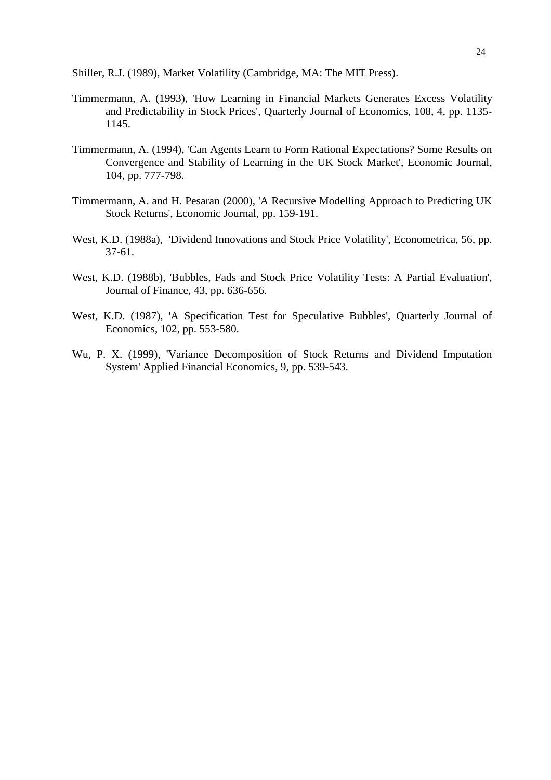Shiller, R.J. (1989), Market Volatility (Cambridge, MA: The MIT Press).

- Timmermann, A. (1993), 'How Learning in Financial Markets Generates Excess Volatility and Predictability in Stock Prices', Quarterly Journal of Economics, 108, 4, pp. 1135- 1145.
- Timmermann, A. (1994), 'Can Agents Learn to Form Rational Expectations? Some Results on Convergence and Stability of Learning in the UK Stock Market', Economic Journal, 104, pp. 777-798.
- Timmermann, A. and H. Pesaran (2000), 'A Recursive Modelling Approach to Predicting UK Stock Returns', Economic Journal, pp. 159-191.
- West, K.D. (1988a), 'Dividend Innovations and Stock Price Volatility', Econometrica, 56, pp. 37-61.
- West, K.D. (1988b), 'Bubbles, Fads and Stock Price Volatility Tests: A Partial Evaluation'*,* Journal of Finance, 43, pp. 636-656.
- West, K.D. (1987), 'A Specification Test for Speculative Bubbles', Quarterly Journal of Economics, 102, pp. 553-580.
- Wu, P. X. (1999), 'Variance Decomposition of Stock Returns and Dividend Imputation System' Applied Financial Economics, 9, pp. 539-543.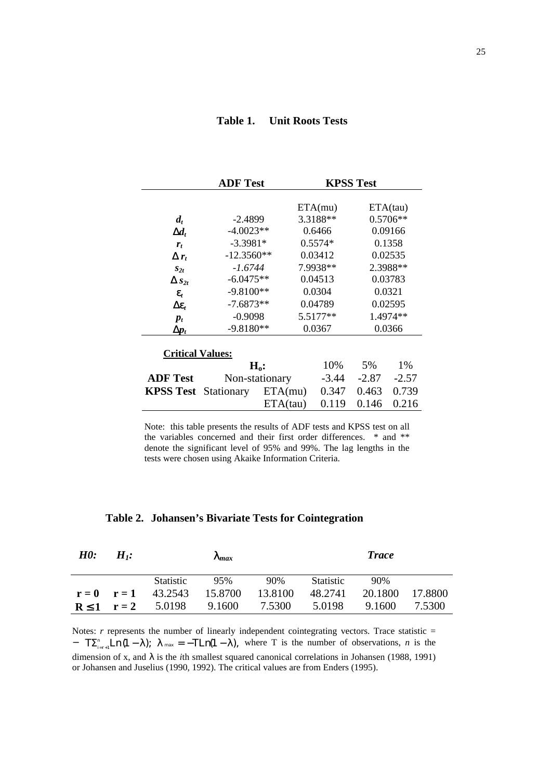#### **Table 1. Unit Roots Tests**

|                             | <b>ADF Test</b>             |                | <b>KPSS Test</b> |            |          |  |  |  |  |  |
|-----------------------------|-----------------------------|----------------|------------------|------------|----------|--|--|--|--|--|
|                             |                             |                | ETA(mu)          |            | ETA(tau) |  |  |  |  |  |
| $d_t$                       | $-2.4899$                   |                | 3.3188**         | $0.5706**$ |          |  |  |  |  |  |
| $\mathbf{D}$                | $-4.0023**$                 |                | 0.6466           | 0.09166    |          |  |  |  |  |  |
| $r_{t}$                     | $-3.3981*$                  |                | $0.5574*$        |            | 0.1358   |  |  |  |  |  |
| $\mathbf{D}r_t$             | $-12.3560**$                |                | 0.03412          |            | 0.02535  |  |  |  |  |  |
| $S_{2t}$                    | $-1.6744$                   |                | 7.9938**         | 2.3988**   |          |  |  |  |  |  |
| $\mathbf{D}_{S_{2t}}$       | $-6.0475**$                 |                | 0.04513          | 0.03783    |          |  |  |  |  |  |
| Ą                           | $-9.8100**$                 |                | 0.0304           | 0.0321     |          |  |  |  |  |  |
| Dę                          | $-7.6873**$                 |                | 0.04789          |            | 0.02595  |  |  |  |  |  |
| $p_t$                       | $-0.9098$                   |                | 5.5177**         |            | 1.4974** |  |  |  |  |  |
| $\mathbf{D\!\!\!\!\!\!D}_t$ | $-9.8180**$                 |                | 0.0367           | 0.0366     |          |  |  |  |  |  |
| <b>Critical Values:</b>     |                             |                |                  |            |          |  |  |  |  |  |
|                             |                             | $H_0$ :        | 10%              | 5%         | $1\%$    |  |  |  |  |  |
| <b>ADF Test</b>             |                             | Non-stationary | $-3.44$          | $-2.87$    | $-2.57$  |  |  |  |  |  |
|                             | <b>KPSS Test</b> Stationary | ETA(mu)        | 0.347            |            | 0.739    |  |  |  |  |  |
|                             |                             | ETA(tau)       | 0.119            | 0.146      | 0.216    |  |  |  |  |  |
|                             |                             |                |                  |            |          |  |  |  |  |  |

Note: this table presents the results of ADF tests and KPSS test on all the variables concerned and their first order differences. \* and \*\* denote the significant level of 95% and 99%. The lag lengths in the tests were chosen using Akaike Information Criteria.

#### **Table 2. Johansen's Bivariate Tests for Cointegration**

| H0: | $H_{1}$ :   | $\mathbf{I}_{max}$ |     |         | <b>Trace</b>     |         |           |  |  |
|-----|-------------|--------------------|-----|---------|------------------|---------|-----------|--|--|
|     |             | <b>Statistic</b>   | 95% | 90%     | <b>Statistic</b> | $90\%$  |           |  |  |
|     | $r=0$ $r=1$ | 43.2543 15.8700    |     | 13.8100 | 48.2741          | 20.1800 | - 17.8800 |  |  |
|     | $Rf1$ $r=2$ | 5.0198 9.1600      |     | 7.5300  | 5.0198           | 9.1600  | 7.5300    |  |  |

Notes:  $r$  represents the number of linearly independent cointegrating vectors. Trace statistic  $=$  $-T\Sigma_{i=r+1}^{n}Ln(1-\lambda); \lambda_{max}=-TLn(1-\lambda)$ , where T is the number of observations, *n* is the dimension of x, and  $\lambda$  is the *i*th smallest squared canonical correlations in Johansen (1988, 1991) or Johansen and Juselius (1990, 1992). The critical values are from Enders (1995).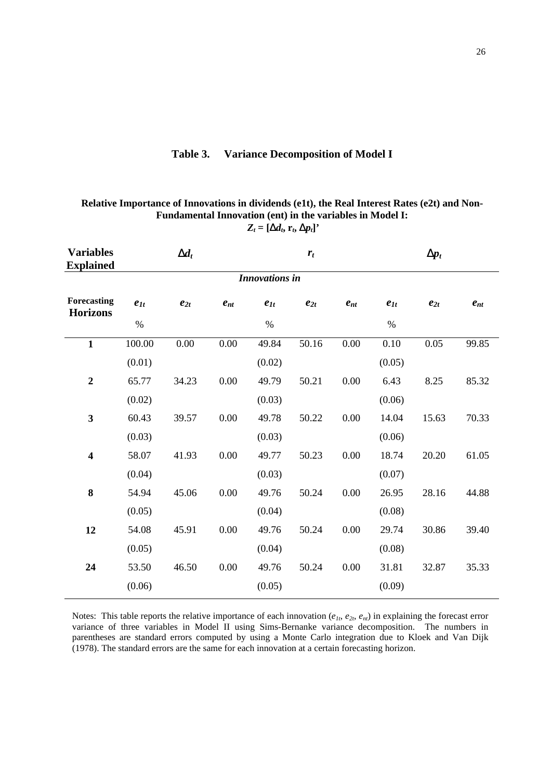#### **Table 3. Variance Decomposition of Model I**

## **Relative Importance of Innovations in dividends (e1t), the Real Interest Rates (e2t) and Non-Fundamental Innovation (ent) in the variables in Model I:**

 $Z_t = [\mathbf{D}d_t, \mathbf{r}_t, \mathbf{D}p_t]$ 

| <b>Variables</b><br><b>Explained</b> |                       | $\mathbf{m}_t$ |          |          | $r_t$    |          | $\mathbf{p}_t$ |          |          |  |  |
|--------------------------------------|-----------------------|----------------|----------|----------|----------|----------|----------------|----------|----------|--|--|
|                                      | <b>Innovations</b> in |                |          |          |          |          |                |          |          |  |  |
| Forecasting<br><b>Horizons</b>       | $e_{1t}$              | $e_{2t}$       | $e_{nt}$ | $e_{1t}$ | $e_{2t}$ | $e_{nt}$ | $e_{1t}$       | $e_{2t}$ | $e_{nt}$ |  |  |
|                                      | $\%$                  |                |          | $\%$     |          |          | $\%$           |          |          |  |  |
| $\mathbf{1}$                         | 100.00                | $0.00\,$       | $0.00\,$ | 49.84    | 50.16    | 0.00     | 0.10           | 0.05     | 99.85    |  |  |
|                                      | (0.01)                |                |          | (0.02)   |          |          | (0.05)         |          |          |  |  |
| $\overline{2}$                       | 65.77                 | 34.23          | 0.00     | 49.79    | 50.21    | $0.00\,$ | 6.43           | 8.25     | 85.32    |  |  |
|                                      | (0.02)                |                |          | (0.03)   |          |          | (0.06)         |          |          |  |  |
| $\overline{\mathbf{3}}$              | 60.43                 | 39.57          | 0.00     | 49.78    | 50.22    | 0.00     | 14.04          | 15.63    | 70.33    |  |  |
|                                      | (0.03)                |                |          | (0.03)   |          |          | (0.06)         |          |          |  |  |
| $\overline{\mathbf{4}}$              | 58.07                 | 41.93          | 0.00     | 49.77    | 50.23    | 0.00     | 18.74          | 20.20    | 61.05    |  |  |
|                                      | (0.04)                |                |          | (0.03)   |          |          | (0.07)         |          |          |  |  |
| 8                                    | 54.94                 | 45.06          | 0.00     | 49.76    | 50.24    | 0.00     | 26.95          | 28.16    | 44.88    |  |  |
|                                      | (0.05)                |                |          | (0.04)   |          |          | (0.08)         |          |          |  |  |
| 12                                   | 54.08                 | 45.91          | 0.00     | 49.76    | 50.24    | 0.00     | 29.74          | 30.86    | 39.40    |  |  |
|                                      | (0.05)                |                |          | (0.04)   |          |          | (0.08)         |          |          |  |  |
| 24                                   | 53.50                 | 46.50          | 0.00     | 49.76    | 50.24    | 0.00     | 31.81          | 32.87    | 35.33    |  |  |
|                                      | (0.06)                |                |          | (0.05)   |          |          | (0.09)         |          |          |  |  |
|                                      |                       |                |          |          |          |          |                |          |          |  |  |

Notes: This table reports the relative importance of each innovation  $(e_1, e_2, e_n)$  in explaining the forecast error variance of three variables in Model II using Sims-Bernanke variance decomposition. The numbers in parentheses are standard errors computed by using a Monte Carlo integration due to Kloek and Van Dijk (1978). The standard errors are the same for each innovation at a certain forecasting horizon.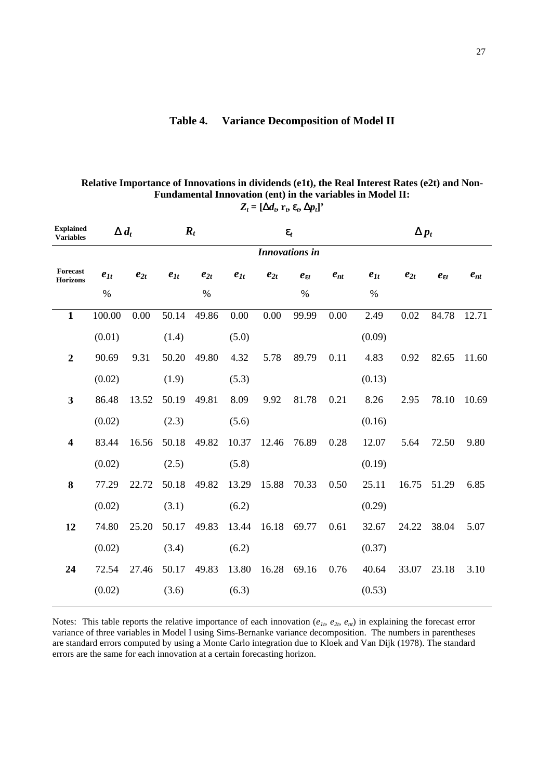#### **Table 4. Variance Decomposition of Model II**

## **Relative Importance of Innovations in dividends (e1t), the Real Interest Rates (e2t) and Non-Fundamental Innovation (ent) in the variables in Model II:**

| <b>Explained</b><br><b>Variables</b> | $\mathbf{D}d_t$       |          |          | $R_t$    | $\mathbf{e}$ |          |                      | $\boldsymbol{D} p_t$ |          |          |                      |          |
|--------------------------------------|-----------------------|----------|----------|----------|--------------|----------|----------------------|----------------------|----------|----------|----------------------|----------|
|                                      | <b>Innovations</b> in |          |          |          |              |          |                      |                      |          |          |                      |          |
| Forecast<br><b>Horizons</b>          | $e_{1t}$              | $e_{2t}$ | $e_{1t}$ | $e_{2t}$ | $e_{1t}$     | $e_{2t}$ | $e_{\boldsymbol{a}}$ | $e_{nt}$             | $e_{1t}$ | $e_{2t}$ | $e_{\boldsymbol{d}}$ | $e_{nt}$ |
|                                      | $\%$                  |          |          | $\%$     |              |          | $\%$                 |                      | $\%$     |          |                      |          |
| $\mathbf{1}$                         | 100.00                | 0.00     | 50.14    | 49.86    | 0.00         | 0.00     | 99.99                | 0.00                 | 2.49     | 0.02     | 84.78                | 12.71    |
|                                      | (0.01)                |          | (1.4)    |          | (5.0)        |          |                      |                      | (0.09)   |          |                      |          |
| $\overline{2}$                       | 90.69                 | 9.31     | 50.20    | 49.80    | 4.32         | 5.78     | 89.79                | 0.11                 | 4.83     | 0.92     | 82.65                | 11.60    |
|                                      | (0.02)                |          | (1.9)    |          | (5.3)        |          |                      |                      | (0.13)   |          |                      |          |
| $\mathbf{3}$                         | 86.48                 | 13.52    | 50.19    | 49.81    | 8.09         | 9.92     | 81.78                | 0.21                 | 8.26     | 2.95     | 78.10                | 10.69    |
|                                      | (0.02)                |          | (2.3)    |          | (5.6)        |          |                      |                      | (0.16)   |          |                      |          |
| $\overline{\mathbf{4}}$              | 83.44                 | 16.56    | 50.18    | 49.82    | 10.37        | 12.46    | 76.89                | 0.28                 | 12.07    | 5.64     | 72.50                | 9.80     |
|                                      | (0.02)                |          | (2.5)    |          | (5.8)        |          |                      |                      | (0.19)   |          |                      |          |
| 8                                    | 77.29                 | 22.72    | 50.18    | 49.82    | 13.29        | 15.88    | 70.33                | 0.50                 | 25.11    | 16.75    | 51.29                | 6.85     |
|                                      | (0.02)                |          | (3.1)    |          | (6.2)        |          |                      |                      | (0.29)   |          |                      |          |
| 12                                   | 74.80                 | 25.20    | 50.17    | 49.83    | 13.44        |          | 16.18 69.77          | 0.61                 | 32.67    | 24.22    | 38.04                | 5.07     |
|                                      | (0.02)                |          | (3.4)    |          | (6.2)        |          |                      |                      | (0.37)   |          |                      |          |
| 24                                   | 72.54                 | 27.46    | 50.17    | 49.83    | 13.80        |          | 16.28 69.16          | 0.76                 | 40.64    | 33.07    | 23.18                | 3.10     |
|                                      | (0.02)                |          | (3.6)    |          | (6.3)        |          |                      |                      | (0.53)   |          |                      |          |

 $Z_t = [\mathbf{D}d_t, \mathbf{r}_t, \mathbf{e}_t, \mathbf{D}_t]$ 

Notes: This table reports the relative importance of each innovation  $(e_1, e_2, e_n)$  in explaining the forecast error variance of three variables in Model I using Sims-Bernanke variance decomposition. The numbers in parentheses are standard errors computed by using a Monte Carlo integration due to Kloek and Van Dijk (1978). The standard errors are the same for each innovation at a certain forecasting horizon.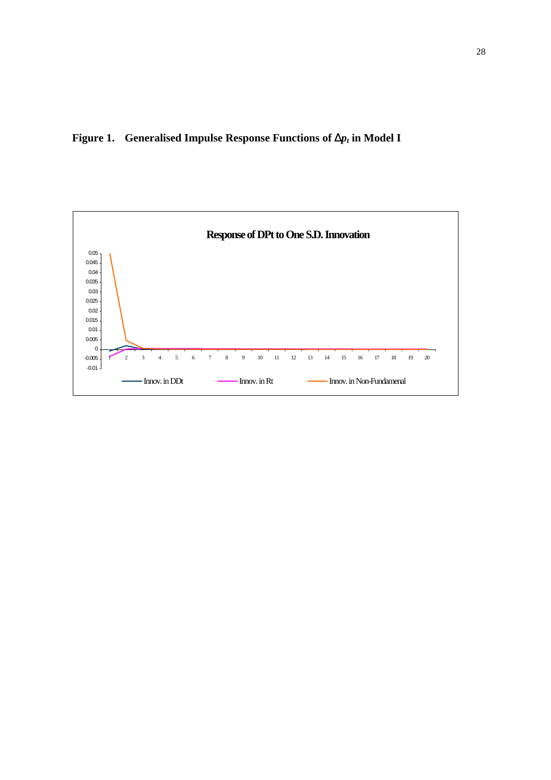